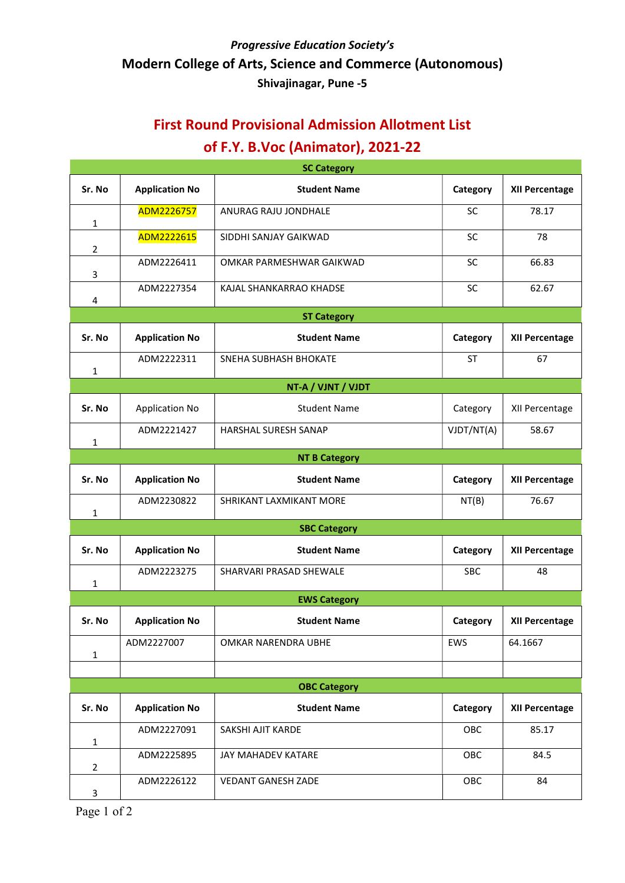## Progressive Education Society's Modern College of Arts, Science and Commerce (Autonomous) Shivajinagar, Pune -5

# First Round Provisional Admission Allotment List of F.Y. B.Voc (Animator), 2021-22

| <b>SC Category</b>   |                       |                             |            |                       |  |  |  |  |
|----------------------|-----------------------|-----------------------------|------------|-----------------------|--|--|--|--|
| Sr. No               | <b>Application No</b> | <b>Student Name</b>         | Category   | XII Percentage        |  |  |  |  |
| 1                    | ADM2226757            | ANURAG RAJU JONDHALE        | <b>SC</b>  | 78.17                 |  |  |  |  |
| $\overline{2}$       | ADM2222615            | SIDDHI SANJAY GAIKWAD       | <b>SC</b>  | 78                    |  |  |  |  |
| 3                    | ADM2226411            | OMKAR PARMESHWAR GAIKWAD    | <b>SC</b>  | 66.83                 |  |  |  |  |
| 4                    | ADM2227354            | KAJAL SHANKARRAO KHADSE     | SC         | 62.67                 |  |  |  |  |
|                      |                       | <b>ST Category</b>          |            |                       |  |  |  |  |
| Sr. No               | <b>Application No</b> | <b>Student Name</b>         | Category   | XII Percentage        |  |  |  |  |
| 1                    | ADM2222311            | SNEHA SUBHASH BHOKATE       | <b>ST</b>  | 67                    |  |  |  |  |
| NT-A / VJNT / VJDT   |                       |                             |            |                       |  |  |  |  |
| Sr. No               | <b>Application No</b> | <b>Student Name</b>         | Category   | XII Percentage        |  |  |  |  |
| 1                    | ADM2221427            | <b>HARSHAL SURESH SANAP</b> | VJDT/NT(A) | 58.67                 |  |  |  |  |
| <b>NT B Category</b> |                       |                             |            |                       |  |  |  |  |
| Sr. No               | <b>Application No</b> | <b>Student Name</b>         | Category   | XII Percentage        |  |  |  |  |
| 1                    | ADM2230822            | SHRIKANT LAXMIKANT MORE     | NT(B)      | 76.67                 |  |  |  |  |
| <b>SBC Category</b>  |                       |                             |            |                       |  |  |  |  |
| Sr. No               | <b>Application No</b> | <b>Student Name</b>         | Category   | XII Percentage        |  |  |  |  |
| 1                    | ADM2223275            | SHARVARI PRASAD SHEWALE     | <b>SBC</b> | 48                    |  |  |  |  |
|                      | <b>EWS Category</b>   |                             |            |                       |  |  |  |  |
| Sr. No               | <b>Application No</b> | <b>Student Name</b>         | Category   | <b>XII Percentage</b> |  |  |  |  |
| 1                    | ADM2227007            | OMKAR NARENDRA UBHE         | EWS        | 64.1667               |  |  |  |  |
|                      |                       |                             |            |                       |  |  |  |  |
| <b>OBC Category</b>  |                       |                             |            |                       |  |  |  |  |
| Sr. No               | <b>Application No</b> | <b>Student Name</b>         | Category   | <b>XII Percentage</b> |  |  |  |  |
| $\mathbf{1}$         | ADM2227091            | SAKSHI AJIT KARDE           | OBC        | 85.17                 |  |  |  |  |
| $\overline{2}$       | ADM2225895            | JAY MAHADEV KATARE          | OBC        | 84.5                  |  |  |  |  |
| 3                    | ADM2226122            | <b>VEDANT GANESH ZADE</b>   | OBC        | 84                    |  |  |  |  |